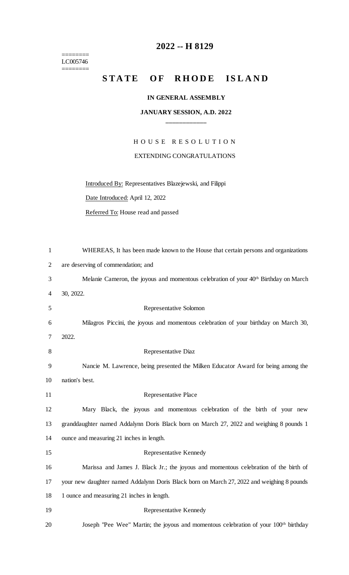$=$ LC005746 ========

## **2022 -- H 8129**

## STATE OF RHODE ISLAND

## **IN GENERAL ASSEMBLY**

## **JANUARY SESSION, A.D. 2022 \_\_\_\_\_\_\_\_\_\_\_\_**

H O U S E R E S O L U T I O N EXTENDING CONGRATULATIONS

Introduced By: Representatives Blazejewski, and Filippi

Date Introduced: April 12, 2022

Referred To: House read and passed

| 1              | WHEREAS, It has been made known to the House that certain persons and organizations       |
|----------------|-------------------------------------------------------------------------------------------|
| $\overline{2}$ | are deserving of commendation; and                                                        |
| 3              | Melanie Cameron, the joyous and momentous celebration of your $40th$ Birthday on March    |
| 4              | 30, 2022.                                                                                 |
| 5              | Representative Solomon                                                                    |
| 6              | Milagros Piccini, the joyous and momentous celebration of your birthday on March 30,      |
| 7              | 2022.                                                                                     |
| 8              | Representative Diaz                                                                       |
| 9              | Nancie M. Lawrence, being presented the Milken Educator Award for being among the         |
| 10             | nation's best.                                                                            |
| 11             | Representative Place                                                                      |
| 12             |                                                                                           |
|                | Mary Black, the joyous and momentous celebration of the birth of your new                 |
| 13             | granddaughter named Addalynn Doris Black born on March 27, 2022 and weighing 8 pounds 1   |
| 14             | ounce and measuring 21 inches in length.                                                  |
| 15             | Representative Kennedy                                                                    |
| 16             | Marissa and James J. Black Jr.; the joyous and momentous celebration of the birth of      |
| 17             | your new daughter named Addalynn Doris Black born on March 27, 2022 and weighing 8 pounds |
| 18             | 1 ounce and measuring 21 inches in length.                                                |
| 19             | Representative Kennedy                                                                    |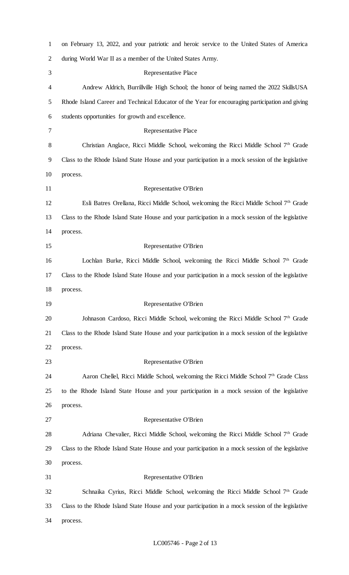| $\mathbf{1}$ | on February 13, 2022, and your patriotic and heroic service to the United States of America        |
|--------------|----------------------------------------------------------------------------------------------------|
| 2            | during World War II as a member of the United States Army.                                         |
| 3            | Representative Place                                                                               |
| 4            | Andrew Aldrich, Burrillville High School; the honor of being named the 2022 SkillsUSA              |
| 5            | Rhode Island Career and Technical Educator of the Year for encouraging participation and giving    |
| 6            | students opportunities for growth and excellence.                                                  |
| 7            | Representative Place                                                                               |
| 8            | Christian Anglace, Ricci Middle School, welcoming the Ricci Middle School 7th Grade                |
| 9            | Class to the Rhode Island State House and your participation in a mock session of the legislative  |
| 10           | process.                                                                                           |
| 11           | Representative O'Brien                                                                             |
| 12           | Esli Batres Orellana, Ricci Middle School, welcoming the Ricci Middle School 7 <sup>th</sup> Grade |
| 13           | Class to the Rhode Island State House and your participation in a mock session of the legislative  |
| 14           | process.                                                                                           |
| 15           | Representative O'Brien                                                                             |
| 16           | Lochlan Burke, Ricci Middle School, welcoming the Ricci Middle School 7th Grade                    |
| 17           | Class to the Rhode Island State House and your participation in a mock session of the legislative  |
| 18           | process.                                                                                           |
| 19           | Representative O'Brien                                                                             |
| 20           | Johnason Cardoso, Ricci Middle School, welcoming the Ricci Middle School 7th Grade                 |
| 21           | Class to the Rhode Island State House and your participation in a mock session of the legislative  |
| 22           | process.                                                                                           |
| 23           | Representative O'Brien                                                                             |
| 24           | Aaron Chellel, Ricci Middle School, welcoming the Ricci Middle School 7 <sup>th</sup> Grade Class  |
| 25           | to the Rhode Island State House and your participation in a mock session of the legislative        |
| 26           | process.                                                                                           |
| 27           | Representative O'Brien                                                                             |
| 28           | Adriana Chevalier, Ricci Middle School, welcoming the Ricci Middle School 7 <sup>th</sup> Grade    |
| 29           | Class to the Rhode Island State House and your participation in a mock session of the legislative  |
| 30           | process.                                                                                           |
| 31           | Representative O'Brien                                                                             |
| 32           | Schnaika Cyrius, Ricci Middle School, welcoming the Ricci Middle School 7 <sup>th</sup> Grade      |
| 33           | Class to the Rhode Island State House and your participation in a mock session of the legislative  |
| 34           | process.                                                                                           |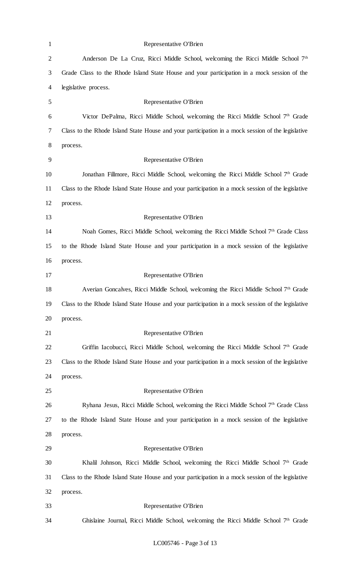| $\mathbf{1}$   | Representative O'Brien                                                                            |
|----------------|---------------------------------------------------------------------------------------------------|
| $\overline{2}$ | Anderson De La Cruz, Ricci Middle School, welcoming the Ricci Middle School 7 <sup>th</sup>       |
| $\mathfrak{Z}$ | Grade Class to the Rhode Island State House and your participation in a mock session of the       |
| 4              | legislative process.                                                                              |
| $\mathfrak{S}$ | Representative O'Brien                                                                            |
| 6              | Victor DePalma, Ricci Middle School, welcoming the Ricci Middle School 7th Grade                  |
| $\tau$         | Class to the Rhode Island State House and your participation in a mock session of the legislative |
| $8\,$          | process.                                                                                          |
| 9              | Representative O'Brien                                                                            |
| 10             | Jonathan Fillmore, Ricci Middle School, welcoming the Ricci Middle School 7 <sup>th</sup> Grade   |
| 11             | Class to the Rhode Island State House and your participation in a mock session of the legislative |
| 12             | process.                                                                                          |
| 13             | Representative O'Brien                                                                            |
| 14             | Noah Gomes, Ricci Middle School, welcoming the Ricci Middle School 7 <sup>th</sup> Grade Class    |
| 15             | to the Rhode Island State House and your participation in a mock session of the legislative       |
| 16             | process.                                                                                          |
| 17             | Representative O'Brien                                                                            |
| 18             | Averian Goncalves, Ricci Middle School, welcoming the Ricci Middle School 7th Grade               |
| 19             | Class to the Rhode Island State House and your participation in a mock session of the legislative |
| 20             | process.                                                                                          |
| 21             | Representative O'Brien                                                                            |
| 22             | Griffin Iacobucci, Ricci Middle School, welcoming the Ricci Middle School 7 <sup>th</sup> Grade   |
| 23             | Class to the Rhode Island State House and your participation in a mock session of the legislative |
| 24             | process.                                                                                          |
| 25             | Representative O'Brien                                                                            |
| 26             | Ryhana Jesus, Ricci Middle School, welcoming the Ricci Middle School 7th Grade Class              |
| 27             | to the Rhode Island State House and your participation in a mock session of the legislative       |
| 28             | process.                                                                                          |
| 29             | Representative O'Brien                                                                            |
| 30             | Khalil Johnson, Ricci Middle School, welcoming the Ricci Middle School 7 <sup>th</sup> Grade      |
| 31             | Class to the Rhode Island State House and your participation in a mock session of the legislative |
| 32             | process.                                                                                          |
| 33             | Representative O'Brien                                                                            |
| 34             | Ghislaine Journal, Ricci Middle School, welcoming the Ricci Middle School 7 <sup>th</sup> Grade   |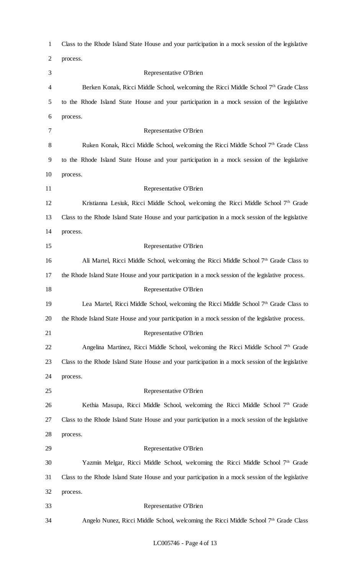| $\mathbf{1}$   | Class to the Rhode Island State House and your participation in a mock session of the legislative |
|----------------|---------------------------------------------------------------------------------------------------|
| $\overline{2}$ | process.                                                                                          |
| 3              | Representative O'Brien                                                                            |
| 4              | Berken Konak, Ricci Middle School, welcoming the Ricci Middle School 7th Grade Class              |
| 5              | to the Rhode Island State House and your participation in a mock session of the legislative       |
| 6              | process.                                                                                          |
| 7              | Representative O'Brien                                                                            |
| 8              | Ruken Konak, Ricci Middle School, welcoming the Ricci Middle School 7 <sup>th</sup> Grade Class   |
| 9              | to the Rhode Island State House and your participation in a mock session of the legislative       |
| 10             | process.                                                                                          |
| 11             | Representative O'Brien                                                                            |
| 12             | Kristianna Lesiuk, Ricci Middle School, welcoming the Ricci Middle School 7th Grade               |
| 13             | Class to the Rhode Island State House and your participation in a mock session of the legislative |
| 14             | process.                                                                                          |
| 15             | Representative O'Brien                                                                            |
| 16             | Ali Martel, Ricci Middle School, welcoming the Ricci Middle School 7 <sup>th</sup> Grade Class to |
| 17             | the Rhode Island State House and your participation in a mock session of the legislative process. |
| 18             | Representative O'Brien                                                                            |
| 19             | Lea Martel, Ricci Middle School, welcoming the Ricci Middle School 7 <sup>th</sup> Grade Class to |
| 20             | the Rhode Island State House and your participation in a mock session of the legislative process. |
| 21             | Representative O'Brien                                                                            |
| 22             | Angelina Martinez, Ricci Middle School, welcoming the Ricci Middle School 7 <sup>th</sup> Grade   |
| 23             | Class to the Rhode Island State House and your participation in a mock session of the legislative |
| 24             | process.                                                                                          |
| 25             | Representative O'Brien                                                                            |
| 26             | Kethia Masupa, Ricci Middle School, welcoming the Ricci Middle School 7 <sup>th</sup> Grade       |
| 27             | Class to the Rhode Island State House and your participation in a mock session of the legislative |
| 28             | process.                                                                                          |
| 29             | Representative O'Brien                                                                            |
| 30             | Yazmin Melgar, Ricci Middle School, welcoming the Ricci Middle School 7 <sup>th</sup> Grade       |
| 31             | Class to the Rhode Island State House and your participation in a mock session of the legislative |
| 32             | process.                                                                                          |
| 33             | Representative O'Brien                                                                            |
| 34             | Angelo Nunez, Ricci Middle School, welcoming the Ricci Middle School 7 <sup>th</sup> Grade Class  |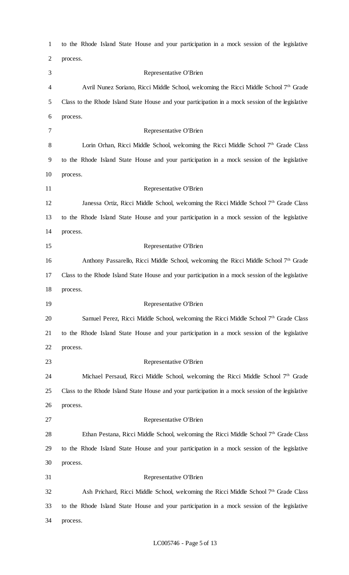| $\mathbf{1}$   | to the Rhode Island State House and your participation in a mock session of the legislative       |
|----------------|---------------------------------------------------------------------------------------------------|
| $\overline{2}$ | process.                                                                                          |
| 3              | Representative O'Brien                                                                            |
| 4              | Avril Nunez Soriano, Ricci Middle School, welcoming the Ricci Middle School 7 <sup>th</sup> Grade |
| 5              | Class to the Rhode Island State House and your participation in a mock session of the legislative |
| 6              | process.                                                                                          |
| 7              | Representative O'Brien                                                                            |
| 8              | Lorin Orhan, Ricci Middle School, welcoming the Ricci Middle School 7th Grade Class               |
| 9              | to the Rhode Island State House and your participation in a mock session of the legislative       |
| 10             | process.                                                                                          |
| 11             | Representative O'Brien                                                                            |
| 12             | Janessa Ortiz, Ricci Middle School, welcoming the Ricci Middle School $7th$ Grade Class           |
| 13             | to the Rhode Island State House and your participation in a mock session of the legislative       |
| 14             | process.                                                                                          |
| 15             | Representative O'Brien                                                                            |
| 16             | Anthony Passarello, Ricci Middle School, welcoming the Ricci Middle School 7 <sup>th</sup> Grade  |
| 17             | Class to the Rhode Island State House and your participation in a mock session of the legislative |
| 18             | process.                                                                                          |
| 19             | Representative O'Brien                                                                            |
| 20             | Samuel Perez, Ricci Middle School, welcoming the Ricci Middle School 7 <sup>th</sup> Grade Class  |
| 21             | to the Rhode Island State House and your participation in a mock session of the legislative       |
| 22             | process.                                                                                          |
| 23             | Representative O'Brien                                                                            |
| 24             | Michael Persaud, Ricci Middle School, welcoming the Ricci Middle School 7 <sup>th</sup> Grade     |
| 25             | Class to the Rhode Island State House and your participation in a mock session of the legislative |
| 26             | process.                                                                                          |
| 27             | Representative O'Brien                                                                            |
| 28             | Ethan Pestana, Ricci Middle School, welcoming the Ricci Middle School 7 <sup>th</sup> Grade Class |
| 29             | to the Rhode Island State House and your participation in a mock session of the legislative       |
| 30             | process.                                                                                          |
| 31             | Representative O'Brien                                                                            |
| 32             | Ash Prichard, Ricci Middle School, welcoming the Ricci Middle School 7th Grade Class              |
| 33             | to the Rhode Island State House and your participation in a mock session of the legislative       |
| 34             | process.                                                                                          |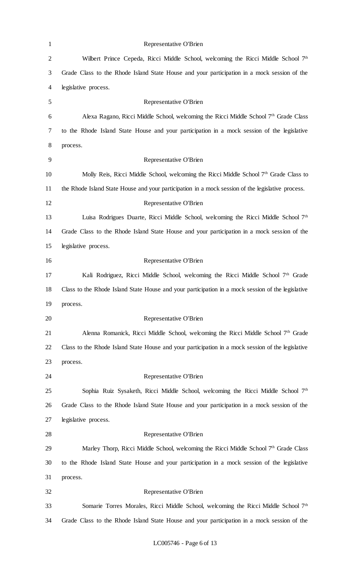| $\mathbf{1}$   | Representative O'Brien                                                                            |
|----------------|---------------------------------------------------------------------------------------------------|
| $\overline{2}$ | Wilbert Prince Cepeda, Ricci Middle School, welcoming the Ricci Middle School 7 <sup>th</sup>     |
| 3              | Grade Class to the Rhode Island State House and your participation in a mock session of the       |
| 4              | legislative process.                                                                              |
| 5              | Representative O'Brien                                                                            |
| 6              | Alexa Ragano, Ricci Middle School, welcoming the Ricci Middle School $7th$ Grade Class            |
| 7              | to the Rhode Island State House and your participation in a mock session of the legislative       |
| 8              | process.                                                                                          |
| 9              | Representative O'Brien                                                                            |
| 10             | Molly Reis, Ricci Middle School, welcoming the Ricci Middle School 7 <sup>th</sup> Grade Class to |
| 11             | the Rhode Island State House and your participation in a mock session of the legislative process. |
| 12             | Representative O'Brien                                                                            |
| 13             | Luisa Rodrigues Duarte, Ricci Middle School, welcoming the Ricci Middle School 7 <sup>th</sup>    |
| 14             | Grade Class to the Rhode Island State House and your participation in a mock session of the       |
| 15             | legislative process.                                                                              |
| 16             | Representative O'Brien                                                                            |
| 17             | Kali Rodriguez, Ricci Middle School, welcoming the Ricci Middle School 7th Grade                  |
| 18             | Class to the Rhode Island State House and your participation in a mock session of the legislative |
| 19             | process.                                                                                          |
| 20             | Representative O'Brien                                                                            |
| 21             | Alenna Romanick, Ricci Middle School, welcoming the Ricci Middle School 7th Grade                 |
| 22             | Class to the Rhode Island State House and your participation in a mock session of the legislative |
| 23             | process.                                                                                          |
| 24             | Representative O'Brien                                                                            |
| 25             | Sophia Ruiz Sysaketh, Ricci Middle School, welcoming the Ricci Middle School 7 <sup>th</sup>      |
| 26             | Grade Class to the Rhode Island State House and your participation in a mock session of the       |
| 27             | legislative process.                                                                              |
| 28             | Representative O'Brien                                                                            |
| 29             | Marley Thorp, Ricci Middle School, welcoming the Ricci Middle School $7th$ Grade Class            |
| 30             | to the Rhode Island State House and your participation in a mock session of the legislative       |
| 31             | process.                                                                                          |
| 32             | Representative O'Brien                                                                            |
| 33             | Somarie Torres Morales, Ricci Middle School, welcoming the Ricci Middle School 7 <sup>th</sup>    |
| 34             | Grade Class to the Rhode Island State House and your participation in a mock session of the       |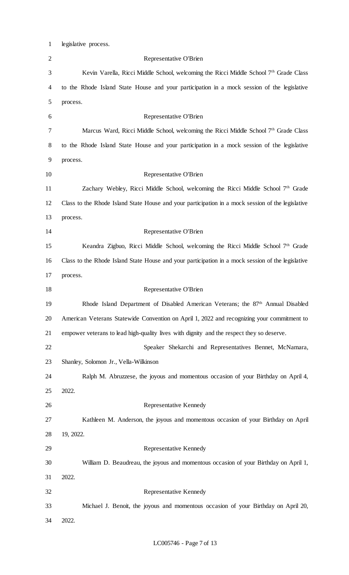| $\mathbf{1}$   | legislative process.                                                                              |
|----------------|---------------------------------------------------------------------------------------------------|
| $\overline{2}$ | Representative O'Brien                                                                            |
| 3              | Kevin Varella, Ricci Middle School, welcoming the Ricci Middle School 7th Grade Class             |
| 4              | to the Rhode Island State House and your participation in a mock session of the legislative       |
| 5              | process.                                                                                          |
| 6              | Representative O'Brien                                                                            |
| 7              | Marcus Ward, Ricci Middle School, welcoming the Ricci Middle School $7th$ Grade Class             |
| 8              | to the Rhode Island State House and your participation in a mock session of the legislative       |
| 9              | process.                                                                                          |
| 10             | Representative O'Brien                                                                            |
| 11             | Zachary Webley, Ricci Middle School, welcoming the Ricci Middle School 7th Grade                  |
| 12             | Class to the Rhode Island State House and your participation in a mock session of the legislative |
| 13             | process.                                                                                          |
| 14             | Representative O'Brien                                                                            |
| 15             | Keandra Zigbuo, Ricci Middle School, welcoming the Ricci Middle School 7 <sup>th</sup> Grade      |
| 16             | Class to the Rhode Island State House and your participation in a mock session of the legislative |
| 17             | process.                                                                                          |
| 18             | Representative O'Brien                                                                            |
| 19             | Rhode Island Department of Disabled American Veterans; the 87 <sup>th</sup> Annual Disabled       |
| 20             | American Veterans Statewide Convention on April 1, 2022 and recognizing your commitment to        |
| 21             | empower veterans to lead high-quality lives with dignity and the respect they so deserve.         |
| 22             | Speaker Shekarchi and Representatives Bennet, McNamara,                                           |
| 23             | Shanley, Solomon Jr., Vella-Wilkinson                                                             |
| 24             | Ralph M. Abruzzese, the joyous and momentous occasion of your Birthday on April 4,                |
| 25             | 2022.                                                                                             |
| 26             | Representative Kennedy                                                                            |
| 27             | Kathleen M. Anderson, the joyous and momentous occasion of your Birthday on April                 |
| 28             | 19, 2022.                                                                                         |
| 29             | Representative Kennedy                                                                            |
| 30             | William D. Beaudreau, the joyous and momentous occasion of your Birthday on April 1,              |
| 31             | 2022.                                                                                             |
| 32             | Representative Kennedy                                                                            |
| 33             | Michael J. Benoit, the joyous and momentous occasion of your Birthday on April 20,                |
| 34             | 2022.                                                                                             |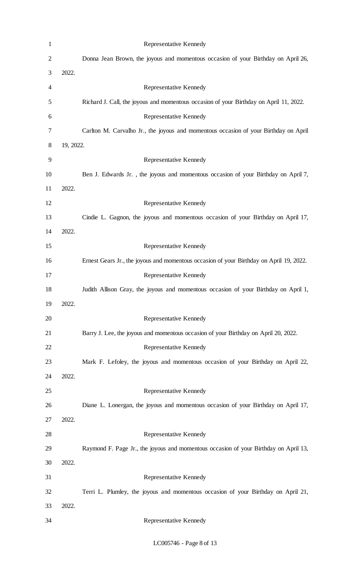| $\mathbf{1}$   |           | Representative Kennedy                                                                  |
|----------------|-----------|-----------------------------------------------------------------------------------------|
| $\overline{2}$ |           | Donna Jean Brown, the joyous and momentous occasion of your Birthday on April 26,       |
| 3              | 2022.     |                                                                                         |
| 4              |           | Representative Kennedy                                                                  |
| 5              |           | Richard J. Call, the joyous and momentous occasion of your Birthday on April 11, 2022.  |
| 6              |           | Representative Kennedy                                                                  |
| 7              |           | Carlton M. Carvalho Jr., the joyous and momentous occasion of your Birthday on April    |
| 8              | 19, 2022. |                                                                                         |
| 9              |           | Representative Kennedy                                                                  |
| 10             |           | Ben J. Edwards Jr., the joyous and momentous occasion of your Birthday on April 7,      |
| 11             | 2022.     |                                                                                         |
| 12             |           | Representative Kennedy                                                                  |
| 13             |           | Cindie L. Gagnon, the joyous and momentous occasion of your Birthday on April 17,       |
| 14             | 2022.     |                                                                                         |
| 15             |           | Representative Kennedy                                                                  |
| 16             |           | Ernest Gears Jr., the joyous and momentous occasion of your Birthday on April 19, 2022. |
| 17             |           | Representative Kennedy                                                                  |
| 18             |           | Judith Allison Gray, the joyous and momentous occasion of your Birthday on April 1,     |
| 19             | 2022.     |                                                                                         |
| 20             |           | <b>Representative Kennedy</b>                                                           |
| 21             |           | Barry J. Lee, the joyous and momentous occasion of your Birthday on April 20, 2022.     |
| 22             |           | Representative Kennedy                                                                  |
| 23             |           | Mark F. Lefoley, the joyous and momentous occasion of your Birthday on April 22,        |
| 24             | 2022.     |                                                                                         |
| 25             |           | Representative Kennedy                                                                  |
| 26             |           | Diane L. Lonergan, the joyous and momentous occasion of your Birthday on April 17,      |
| 27             | 2022.     |                                                                                         |
| 28             |           | Representative Kennedy                                                                  |
| 29             |           | Raymond F. Page Jr., the joyous and momentous occasion of your Birthday on April 13,    |
| 30             | 2022.     |                                                                                         |
| 31             |           | Representative Kennedy                                                                  |
| 32             |           | Terri L. Plumley, the joyous and momentous occasion of your Birthday on April 21,       |
| 33             | 2022.     |                                                                                         |
| 34             |           | Representative Kennedy                                                                  |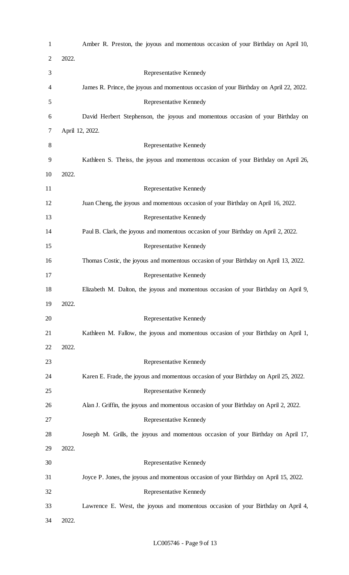| $\mathbf{1}$   |       | Amber R. Preston, the joyous and momentous occasion of your Birthday on April 10,      |
|----------------|-------|----------------------------------------------------------------------------------------|
| $\overline{2}$ | 2022. |                                                                                        |
| 3              |       | Representative Kennedy                                                                 |
| 4              |       | James R. Prince, the joyous and momentous occasion of your Birthday on April 22, 2022. |
| 5              |       | Representative Kennedy                                                                 |
| 6              |       | David Herbert Stephenson, the joyous and momentous occasion of your Birthday on        |
| 7              |       | April 12, 2022.                                                                        |
| 8              |       | Representative Kennedy                                                                 |
| 9              |       | Kathleen S. Theiss, the joyous and momentous occasion of your Birthday on April 26,    |
| 10             | 2022. |                                                                                        |
| 11             |       | Representative Kennedy                                                                 |
| 12             |       | Juan Cheng, the joyous and momentous occasion of your Birthday on April 16, 2022.      |
| 13             |       | Representative Kennedy                                                                 |
| 14             |       | Paul B. Clark, the joyous and momentous occasion of your Birthday on April 2, 2022.    |
| 15             |       | Representative Kennedy                                                                 |
| 16             |       | Thomas Costic, the joyous and momentous occasion of your Birthday on April 13, 2022.   |
| 17             |       | Representative Kennedy                                                                 |
| 18             |       | Elizabeth M. Dalton, the joyous and momentous occasion of your Birthday on April 9,    |
| 19             | 2022. |                                                                                        |
| 20             |       | Representative Kennedy                                                                 |
| 21             |       | Kathleen M. Fallow, the joyous and momentous occasion of your Birthday on April 1,     |
| 22             | 2022. |                                                                                        |
| 23             |       | Representative Kennedy                                                                 |
| 24             |       | Karen E. Frade, the joyous and momentous occasion of your Birthday on April 25, 2022.  |
| 25             |       | Representative Kennedy                                                                 |
| 26             |       | Alan J. Griffin, the joyous and momentous occasion of your Birthday on April 2, 2022.  |
| 27             |       | Representative Kennedy                                                                 |
| 28             |       | Joseph M. Grills, the joyous and momentous occasion of your Birthday on April 17,      |
| 29             | 2022. |                                                                                        |
| 30             |       | Representative Kennedy                                                                 |
| 31             |       | Joyce P. Jones, the joyous and momentous occasion of your Birthday on April 15, 2022.  |
| 32             |       | Representative Kennedy                                                                 |
| 33             |       | Lawrence E. West, the joyous and momentous occasion of your Birthday on April 4,       |
| 34             | 2022. |                                                                                        |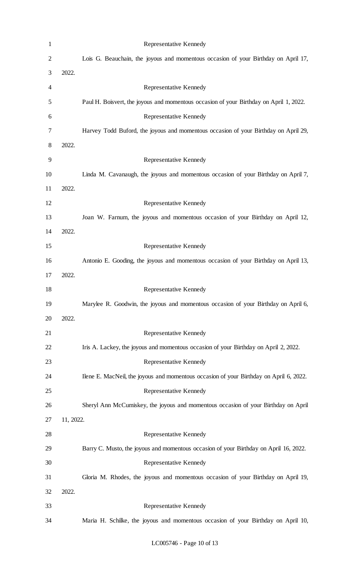| $\mathbf{1}$   |           | Representative Kennedy                                                                 |
|----------------|-----------|----------------------------------------------------------------------------------------|
| $\overline{2}$ |           | Lois G. Beauchain, the joyous and momentous occasion of your Birthday on April 17,     |
| 3              | 2022.     |                                                                                        |
| 4              |           | Representative Kennedy                                                                 |
| 5              |           | Paul H. Boisvert, the joyous and momentous occasion of your Birthday on April 1, 2022. |
| 6              |           | Representative Kennedy                                                                 |
| 7              |           | Harvey Todd Buford, the joyous and momentous occasion of your Birthday on April 29,    |
| 8              | 2022.     |                                                                                        |
| 9              |           | Representative Kennedy                                                                 |
| 10             |           | Linda M. Cavanaugh, the joyous and momentous occasion of your Birthday on April 7,     |
| 11             | 2022.     |                                                                                        |
| 12             |           | Representative Kennedy                                                                 |
| 13             |           | Joan W. Farnum, the joyous and momentous occasion of your Birthday on April 12,        |
| 14             | 2022.     |                                                                                        |
| 15             |           | Representative Kennedy                                                                 |
| 16             |           | Antonio E. Gooding, the joyous and momentous occasion of your Birthday on April 13,    |
| 17             | 2022.     |                                                                                        |
| 18             |           | Representative Kennedy                                                                 |
| 19             |           | Marylee R. Goodwin, the joyous and momentous occasion of your Birthday on April 6,     |
| 20             | 2022.     |                                                                                        |
| 21             |           | Representative Kennedy                                                                 |
| 22             |           | Iris A. Lackey, the joyous and momentous occasion of your Birthday on April 2, 2022.   |
| 23             |           | Representative Kennedy                                                                 |
| 24             |           | Ilene E. MacNeil, the joyous and momentous occasion of your Birthday on April 6, 2022. |
| 25             |           | Representative Kennedy                                                                 |
| 26             |           | Sheryl Ann McCumiskey, the joyous and momentous occasion of your Birthday on April     |
| 27             | 11, 2022. |                                                                                        |
| 28             |           | Representative Kennedy                                                                 |
| 29             |           | Barry C. Musto, the joyous and momentous occasion of your Birthday on April 16, 2022.  |
| 30             |           | Representative Kennedy                                                                 |
| 31             |           | Gloria M. Rhodes, the joyous and momentous occasion of your Birthday on April 19,      |
| 32             | 2022.     |                                                                                        |
| 33             |           | Representative Kennedy                                                                 |
| 34             |           | Maria H. Schilke, the joyous and momentous occasion of your Birthday on April 10,      |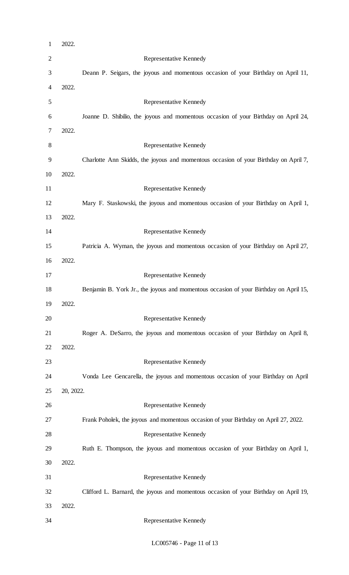| $\mathbf{1}$   | 2022.     |                                                                                       |
|----------------|-----------|---------------------------------------------------------------------------------------|
| $\mathbf{2}$   |           | Representative Kennedy                                                                |
| 3              |           | Deann P. Seigars, the joyous and momentous occasion of your Birthday on April 11,     |
| $\overline{4}$ | 2022.     |                                                                                       |
| 5              |           | Representative Kennedy                                                                |
| 6              |           | Joanne D. Shibilio, the joyous and momentous occasion of your Birthday on April 24,   |
| 7              | 2022.     |                                                                                       |
| $8\,$          |           | Representative Kennedy                                                                |
| 9              |           | Charlotte Ann Skidds, the joyous and momentous occasion of your Birthday on April 7,  |
| 10             | 2022.     |                                                                                       |
| 11             |           | Representative Kennedy                                                                |
| 12             |           | Mary F. Staskowski, the joyous and momentous occasion of your Birthday on April 1,    |
| 13             | 2022.     |                                                                                       |
| 14             |           | Representative Kennedy                                                                |
| 15             |           | Patricia A. Wyman, the joyous and momentous occasion of your Birthday on April 27,    |
| 16             | 2022.     |                                                                                       |
| 17             |           | Representative Kennedy                                                                |
| 18             |           | Benjamin B. York Jr., the joyous and momentous occasion of your Birthday on April 15, |
| 19             | 2022.     |                                                                                       |
| 20             |           | Representative Kennedy                                                                |
| 21             |           | Roger A. DeSarro, the joyous and momentous occasion of your Birthday on April 8,      |
| 22             | 2022.     |                                                                                       |
| 23             |           | Representative Kennedy                                                                |
| 24             |           | Vonda Lee Gencarella, the joyous and momentous occasion of your Birthday on April     |
| 25             | 20, 2022. |                                                                                       |
| 26             |           |                                                                                       |
| 27             |           | Representative Kennedy                                                                |
|                |           | Frank Poholek, the joyous and momentous occasion of your Birthday on April 27, 2022.  |
| 28             |           | Representative Kennedy                                                                |
| 29             |           | Ruth E. Thompson, the joyous and momentous occasion of your Birthday on April 1,      |
| 30             | 2022.     |                                                                                       |
| 31             |           | Representative Kennedy                                                                |
| 32             |           | Clifford L. Barnard, the joyous and momentous occasion of your Birthday on April 19,  |
| 33             | 2022.     |                                                                                       |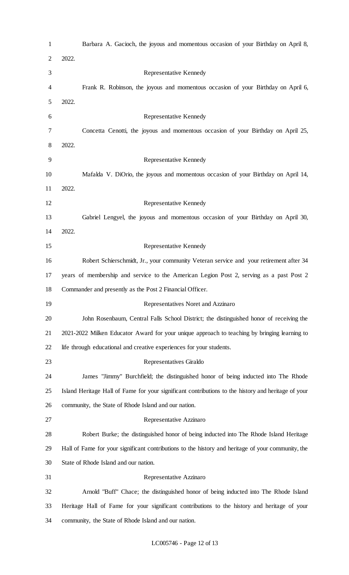| $\mathbf{1}$   | Barbara A. Gacioch, the joyous and momentous occasion of your Birthday on April 8,                  |
|----------------|-----------------------------------------------------------------------------------------------------|
| $\overline{2}$ | 2022.                                                                                               |
| 3              | Representative Kennedy                                                                              |
| 4              | Frank R. Robinson, the joyous and momentous occasion of your Birthday on April 6,                   |
| 5              | 2022.                                                                                               |
| 6              | Representative Kennedy                                                                              |
| 7              | Concetta Cenotti, the joyous and momentous occasion of your Birthday on April 25,                   |
| 8              | 2022.                                                                                               |
| 9              | Representative Kennedy                                                                              |
| 10             | Mafalda V. DiOrio, the joyous and momentous occasion of your Birthday on April 14,                  |
| 11             | 2022.                                                                                               |
| 12             | Representative Kennedy                                                                              |
| 13             | Gabriel Lengyel, the joyous and momentous occasion of your Birthday on April 30,                    |
| 14             | 2022.                                                                                               |
| 15             | Representative Kennedy                                                                              |
| 16             | Robert Schierschmidt, Jr., your community Veteran service and your retirement after 34              |
| 17             | years of membership and service to the American Legion Post 2, serving as a past Post 2             |
| 18             | Commander and presently as the Post 2 Financial Officer.                                            |
| 19             | Representatives Noret and Azzinaro                                                                  |
| 20             | John Rosenbaum, Central Falls School District; the distinguished honor of receiving the             |
| 21             | 2021-2022 Milken Educator Award for your unique approach to teaching by bringing learning to        |
| 22             | life through educational and creative experiences for your students.                                |
| 23             | Representatives Giraldo                                                                             |
| 24             | James "Jimmy" Burchfield; the distinguished honor of being inducted into The Rhode                  |
| 25             | Island Heritage Hall of Fame for your significant contributions to the history and heritage of your |
| 26             | community, the State of Rhode Island and our nation.                                                |
| 27             | Representative Azzinaro                                                                             |
| 28             | Robert Burke; the distinguished honor of being inducted into The Rhode Island Heritage              |
| 29             | Hall of Fame for your significant contributions to the history and heritage of your community, the  |
| 30             | State of Rhode Island and our nation.                                                               |
| 31             | Representative Azzinaro                                                                             |
| 32             | Arnold "Buff" Chace; the distinguished honor of being inducted into The Rhode Island                |
| 33             | Heritage Hall of Fame for your significant contributions to the history and heritage of your        |
| 34             | community, the State of Rhode Island and our nation.                                                |